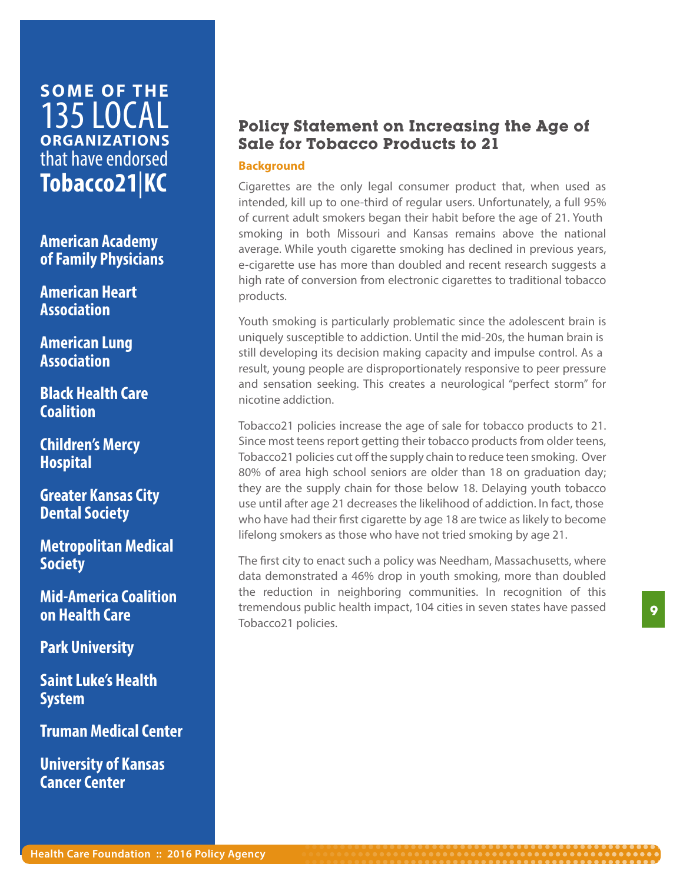# **SOME OF THE** 135 LOCAL **ORGANIZATIONS**  that have endorsed **Tobacco21**|**KC**

**American Academy of Family Physicians**

**American Heart Association**

**American Lung Association**

**Black Health Care Coalition**

**Children's Mercy Hospital**

**Greater Kansas City Dental Society**

**Metropolitan Medical Society**

**Mid-America Coalition on Health Care**

**Park University**

**Saint Luke's Health System**

**Truman Medical Center**

**University of Kansas Cancer Center**

## **Policy Statement on Increasing the Age of Sale for Tobacco Products to 21**

#### **Background**

Cigarettes are the only legal consumer product that, when used as intended, kill up to one-third of regular users. Unfortunately, a full 95% of current adult smokers began their habit before the age of 21. Youth smoking in both Missouri and Kansas remains above the national average. While youth cigarette smoking has declined in previous years, e-cigarette use has more than doubled and recent research suggests a high rate of conversion from electronic cigarettes to traditional tobacco products.

Youth smoking is particularly problematic since the adolescent brain is uniquely susceptible to addiction. Until the mid-20s, the human brain is still developing its decision making capacity and impulse control. As a result, young people are disproportionately responsive to peer pressure and sensation seeking. This creates a neurological "perfect storm" for nicotine addiction.

Tobacco21 policies increase the age of sale for tobacco products to 21. Since most teens report getting their tobacco products from older teens, Tobacco21 policies cut off the supply chain to reduce teen smoking. Over 80% of area high school seniors are older than 18 on graduation day; they are the supply chain for those below 18. Delaying youth tobacco use until after age 21 decreases the likelihood of addiction. In fact, those who have had their first cigarette by age 18 are twice as likely to become lifelong smokers as those who have not tried smoking by age 21.

The first city to enact such a policy was Needham, Massachusetts, where data demonstrated a 46% drop in youth smoking, more than doubled the reduction in neighboring communities. In recognition of this tremendous public health impact, 104 cities in seven states have passed Tobacco21 policies.